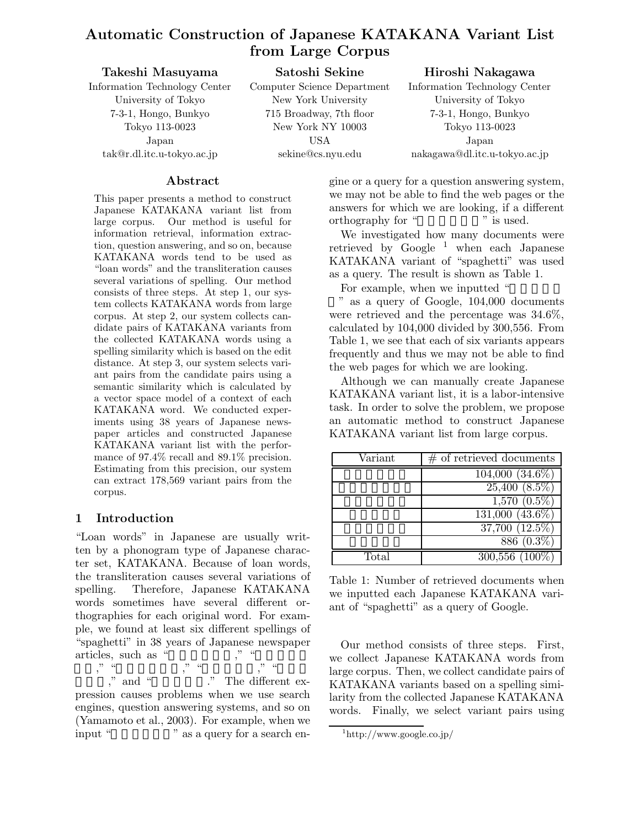# **Automatic Construction of Japanese KATAKANA Variant List from Large Corpus**

| Takeshi Masuyama              | Satoshi Sekine              | Hiroshi Nakagawa              |
|-------------------------------|-----------------------------|-------------------------------|
| Information Technology Center | Computer Science Department | Information Technology Center |
| University of Tokyo           | New York University         | University of Tokyo           |
| 7-3-1, Hongo, Bunkyo          | 715 Broadway, 7th floor     | 7-3-1, Hongo, Bunkyo          |
| Tokyo 113-0023                | New York NY $10003$         | Tokyo 113-0023                |
| Japan                         | USA                         | Japan                         |
| $tak@r.dl. itc.u-tokyo.ac.jp$ | sekine@cs.nyu.edu           | nakagawa@dl.itc.u-tokyo.ac.jp |

### **Abstract**

This paper presents a method to construct Japanese KATAKANA variant list from large corpus. Our method is useful for information retrieval, information extraction, question answering, and so on, because KATAKANA words tend to be used as "loan words" and the transliteration causes several variations of spelling. Our method consists of three steps. At step 1, our system collects KATAKANA words from large corpus. At step 2, our system collects candidate pairs of KATAKANA variants from the collected KATAKANA words using a spelling similarity which is based on the edit distance. At step 3, our system selects variant pairs from the candidate pairs using a semantic similarity which is calculated by a vector space model of a context of each KATAKANA word. We conducted experiments using 38 years of Japanese newspaper articles and constructed Japanese KATAKANA variant list with the performance of 97.4% recall and 89.1% precision. Estimating from this precision, our system can extract 178,569 variant pairs from the corpus.

### **1 Introduction**

"Loan words" in Japanese are usually written by a phonogram type of Japanese character set, KATAKANA. Because of loan words, the transliteration causes several variations of spelling. Therefore, Japanese KATAKANA words sometimes have several different orthographies for each original word. For example, we found at least six different spellings of "spaghetti" in 38 years of Japanese newspaper articles, such as "

ィー," "スパゲッテイ," "スパゲティ," "スパゲ "," and " The different expression causes problems when we use search engines, question answering systems, and so on (Yamamoto et al., 2003). For example, when we input "  $\sim$  " as a query for a search engine or a query for a question answering system, we may not be able to find the web pages or the answers for which we are looking, if a different orthography for " " is used. orthography for "

We investigated how many documents were retrieved by  $Google^{-1}$  when each Japanese KATAKANA variant of "spaghetti" was used as a query. The result is shown as Table 1.

For example, when we inputted "

" as a query of Google, 104,000 documents were retrieved and the percentage was 34.6%, calculated by 104,000 divided by 300,556. From Table 1, we see that each of six variants appears frequently and thus we may not be able to find the web pages for which we are looking.

Although we can manually create Japanese KATAKANA variant list, it is a labor-intensive task. In order to solve the problem, we propose an automatic method to construct Japanese KATAKANA variant list from large corpus.

| Variant | $#$ of retrieved documents    |
|---------|-------------------------------|
|         | $104,000(34.6\%)$             |
|         | $\overline{25,400}$ $(8.5\%)$ |
|         | $1,570(0.5\%)$                |
|         | $131,000$ $(43.6\%)$          |
|         | $37,700$ $(12.5\%)$           |
|         | $886(0.3\%)$                  |
| Total   | $300,556$ $(100\%)$           |

Table 1: Number of retrieved documents when we inputted each Japanese KATAKANA variant of "spaghetti" as a query of Google.

Our method consists of three steps. First, we collect Japanese KATAKANA words from large corpus. Then, we collect candidate pairs of KATAKANA variants based on a spelling similarity from the collected Japanese KATAKANA words. Finally, we select variant pairs using

<sup>1</sup> $\mathbf{h}_1$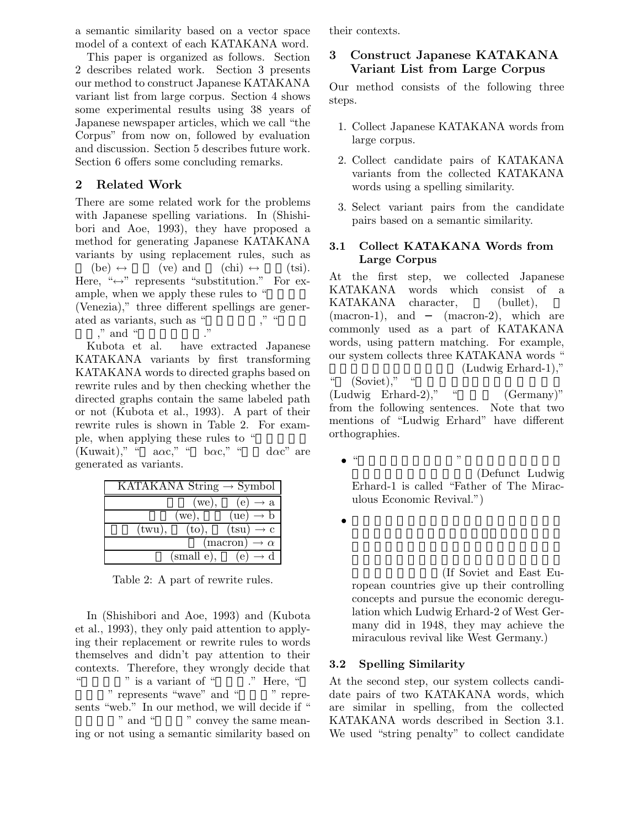a semantic similarity based on a vector space model of a context of each KATAKANA word.

This paper is organized as follows. Section 2 describes related work. Section 3 presents our method to construct Japanese KATAKANA variant list from large corpus. Section 4 shows some experimental results using 38 years of Japanese newspaper articles, which we call "the Corpus" from now on, followed by evaluation and discussion. Section 5 describes future work. Section 6 offers some concluding remarks.

### **2 Related Work**

There are some related work for the problems with Japanese spelling variations. In (Shishibori and Aoe, 1993), they have proposed a method for generating Japanese KATAKANA variants by using replacement rules, such as

 $(\text{be}) \leftrightarrow (\text{ve}) \text{ and } (\text{chi}) \leftrightarrow (\text{tsi}).$ Here, " $\leftrightarrow$ " represents "substitution." For example, when we apply these rules to "

(Venezia)," three different spellings are generated as variants, such as " $\cdots$ "

," and "

Kubota et al. have extracted Japanese KATAKANA variants by first transforming KATAKANA words to directed graphs based on rewrite rules and by then checking whether the directed graphs contain the same labeled path or not (Kubota et al., 1993). A part of their rewrite rules is shown in Table 2. For example, when applying these rules to "

(Kuwait)," "  $a\alpha c$ ," " $b\alpha c$ ," " $d\alpha c$ " are generated as variants.

| $\overline{\text{KATAKANA}}$ String $\rightarrow$ Symbol |                                  |
|----------------------------------------------------------|----------------------------------|
| we),                                                     | (e)<br>$\rightarrow$ a           |
| we),                                                     | (ue)<br>$\rightarrow$ b          |
| (twu),<br>$({\rm to})$                                   | $(tsu) \rightarrow c$            |
|                                                          | (macron)<br>$\rightarrow \alpha$ |
| (small e),                                               | $\epsilon$ e                     |

Table 2: A part of rewrite rules.

In (Shishibori and Aoe, 1993) and (Kubota et al., 1993), they only paid attention to applying their replacement or rewrite rules to words themselves and didn't pay attention to their contexts. Therefore, they wrongly decide that " is a variant of "Pres, " " represents "wave" and " sents "web." In our method, we will decide if " " and "  $\ldots$ " convey the same meaning or not using a semantic similarity based on their contexts.

# **3 Construct Japanese KATAKANA Variant List from Large Corpus**

Our method consists of the following three steps.

- 1. Collect Japanese KATAKANA words from large corpus.
- 2. Collect candidate pairs of KATAKANA variants from the collected KATAKANA words using a spelling similarity.
- 3. Select variant pairs from the candidate pairs based on a semantic similarity.

### **3.1 Collect KATAKANA Words from Large Corpus**

At the first step, we collected Japanese KATAKANA words which consist of a KATAKANA character, (bullet), (macron-1), and (macron-2), which are commonly used as a part of KATAKANA words, using pattern matching. For example, our system collects three KATAKANA words "  $(Ludwig Erhard-1)$ ,"  $(Soviet)," "$ 

 $(Ludwig \tErhard-2)$ ," "
(Germany)" from the following sentences. Note that two mentions of "Ludwig Erhard" have different orthographies.

- $\bullet$  "  $\qquad$  "  $\qquad$   $\qquad$   $\qquad$   $\qquad$   $\qquad$   $\qquad$   $\qquad$   $\qquad$   $\qquad$   $\qquad$   $\qquad$   $\qquad$   $\qquad$   $\qquad$   $\qquad$   $\qquad$   $\qquad$   $\qquad$   $\qquad$   $\qquad$   $\qquad$   $\qquad$   $\qquad$   $\qquad$   $\qquad$   $\qquad$   $\qquad$   $\qquad$   $\qquad$   $\qquad$   $\qquad$   $\qquad$   $\qquad$   $\qquad$   $\$ (Defunct Ludwig) Erhard-1 is called "Father of The Miraculous Economic Revival.")
- $\bullet$

(If Soviet and East European countries give up their controlling concepts and pursue the economic deregulation which Ludwig Erhard-2 of West Germany did in 1948, they may achieve the miraculous revival like West Germany.)

### **3.2 Spelling Similarity**

At the second step, our system collects candidate pairs of two KATAKANA words, which are similar in spelling, from the collected KATAKANA words described in Section 3.1. We used "string penalty" to collect candidate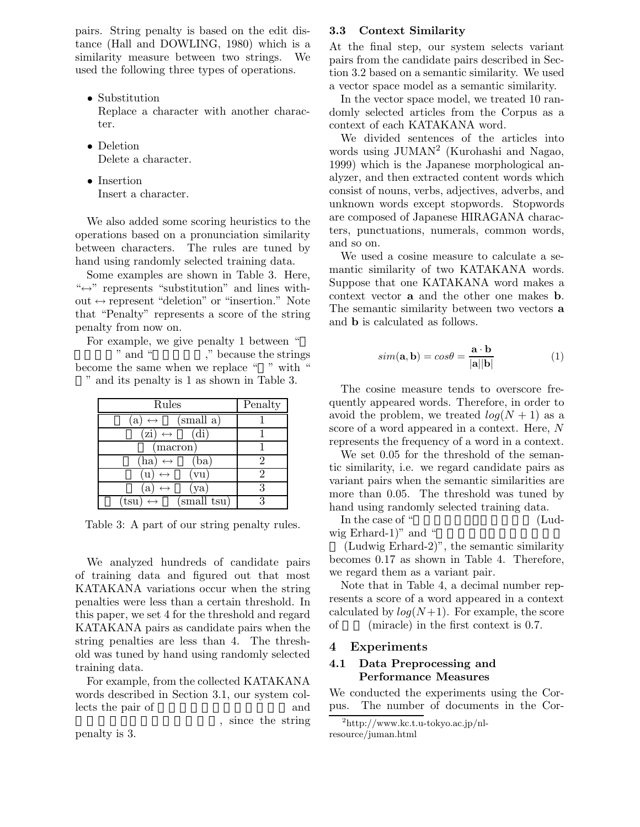pairs. String penalty is based on the edit distance (Hall and DOWLING, 1980) which is a similarity measure between two strings. We used the following three types of operations.

- Substitution Replace a character with another character.
- Deletion Delete a character.
- Insertion Insert a character.

We also added some scoring heuristics to the operations based on a pronunciation similarity between characters. The rules are tuned by hand using randomly selected training data.

Some examples are shown in Table 3. Here, " $\Leftrightarrow$ " represents "substitution" and lines without  $\leftrightarrow$  represent "deletion" or "insertion." Note that "Penalty" represents a score of the string penalty from now on.

For example, we give penalty 1 between " " and "<sup>\*</sup>," because the strings become the same when we replace " " with "

" and its penalty is 1 as shown in Table 3.

| Rules                                      | Penalty |  |
|--------------------------------------------|---------|--|
| (small a)<br>a<br>$\leftrightarrow$        |         |  |
| $\overline{z}$ i) $\leftrightarrow$<br>dı. |         |  |
| macron)                                    |         |  |
| ha) $\leftrightarrow$<br>ba)               | 2       |  |
| vu<br>11                                   | 2       |  |
| ya)<br>a<br>$\leftrightarrow$              | 3       |  |
| (small tsu)<br>tsu)                        | 3       |  |

Table 3: A part of our string penalty rules.

We analyzed hundreds of candidate pairs of training data and figured out that most KATAKANA variations occur when the string penalties were less than a certain threshold. In this paper, we set 4 for the threshold and regard KATAKANA pairs as candidate pairs when the string penalties are less than 4. The threshold was tuned by hand using randomly selected training data.

For example, from the collected KATAKANA words described in Section 3.1, our system collects the pair of and

penalty is 3.

$$
4.1
$$

, since the string

#### **3.3 Context Similarity**

At the final step, our system selects variant pairs from the candidate pairs described in Section 3.2 based on a semantic similarity. We used a vector space model as a semantic similarity.

In the vector space model, we treated 10 randomly selected articles from the Corpus as a context of each KATAKANA word.

We divided sentences of the articles into words using JUMAN<sup>2</sup> (Kurohashi and Nagao, 1999) which is the Japanese morphological analyzer, and then extracted content words which consist of nouns, verbs, adjectives, adverbs, and unknown words except stopwords. Stopwords are composed of Japanese HIRAGANA characters, punctuations, numerals, common words, and so on.

We used a cosine measure to calculate a semantic similarity of two KATAKANA words. Suppose that one KATAKANA word makes a context vector **a** and the other one makes **b**. The semantic similarity between two vectors **a** and **b** is calculated as follows.

$$
sim(\mathbf{a}, \mathbf{b}) = cos\theta = \frac{\mathbf{a} \cdot \mathbf{b}}{|\mathbf{a}||\mathbf{b}|}
$$
 (1)

The cosine measure tends to overscore frequently appeared words. Therefore, in order to avoid the problem, we treated  $log(N + 1)$  as a score of a word appeared in a context. Here, N represents the frequency of a word in a context.

We set 0.05 for the threshold of the semantic similarity, i.e. we regard candidate pairs as variant pairs when the semantic similarities are more than 0.05. The threshold was tuned by hand using randomly selected training data.

In the case of "  $\mu$ wig Erhard-1)" and "

(Ludwig Erhard-2)", the semantic similarity becomes 0.17 as shown in Table 4. Therefore, we regard them as a variant pair.

Note that in Table 4, a decimal number represents a score of a word appeared in a context calculated by  $log(N+1)$ . For example, the score of  $(miracle)$  in the first context is 0.7.

#### **4 Experiments**

#### **4.1 Data Preprocessing and Performance Measures**

We conducted the experiments using the Corpus. The number of documents in the Cor-

 $^{2}$ http://www.kc.t.u-tokyo.ac.jp/nl- $\frac{1}{\pi}$  https://www.kc.t.u-tokyo.u-tokyo.jp/nl- $\mathbf{r}$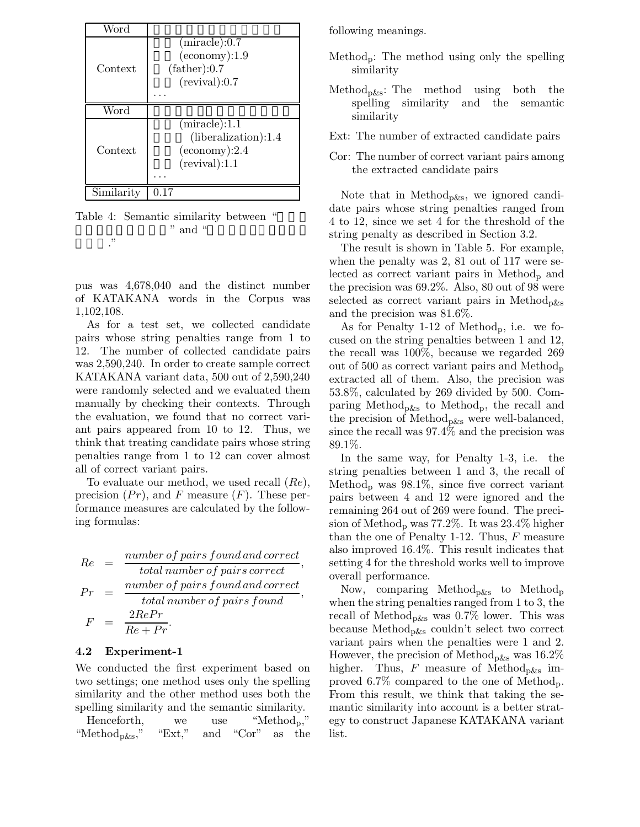| Word       |                                                                                    |
|------------|------------------------------------------------------------------------------------|
| Context    | (miracle):0.7<br>$(e \text{conomy})$ :1.9<br>(father):0.7<br>(revival):0.7         |
| Word       |                                                                                    |
| Context    | (miracle):1.1<br>(liberalization):1.4<br>$(e \text{conomy})$ :2.4<br>(revival):1.1 |
| Similarity |                                                                                    |

Table 4: Semantic similarity between " " and " ハルト."

pus was 4,678,040 and the distinct number of KATAKANA words in the Corpus was 1,102,108.

As for a test set, we collected candidate pairs whose string penalties range from 1 to 12. The number of collected candidate pairs was 2,590,240. In order to create sample correct KATAKANA variant data, 500 out of 2,590,240 were randomly selected and we evaluated them manually by checking their contexts. Through the evaluation, we found that no correct variant pairs appeared from 10 to 12. Thus, we think that treating candidate pairs whose string penalties range from 1 to 12 can cover almost all of correct variant pairs.

To evaluate our method, we used recall (Re), precision  $(Pr)$ , and F measure  $(F)$ . These performance measures are calculated by the following formulas:

$$
Re = \frac{number\ of\ pairs\ found\ and\ correct}{total\ number\ of\ pairs\ correct},
$$
  

$$
Pr = \frac{number\ of\ pairs\ found\ and\ correct}{total\ number\ of\ pairs\ found},
$$
  

$$
F = \frac{2RePr}{Re + Pr}.
$$

#### **4.2 Experiment-1**

We conducted the first experiment based on two settings; one method uses only the spelling similarity and the other method uses both the spelling similarity and the semantic similarity.

Henceforth, we use "Method<sub>p</sub>," "Method<sub>p&s</sub>," "Ext," and "Cor" as the following meanings.

- Method<sub>p</sub>: The method using only the spelling similarity
- Method<sub>p&s</sub>: The method using both the spelling similarity and the semantic similarity
- Ext: The number of extracted candidate pairs
- Cor: The number of correct variant pairs among the extracted candidate pairs

Note that in Method<sub>p&s</sub>, we ignored candidate pairs whose string penalties ranged from 4 to 12, since we set 4 for the threshold of the string penalty as described in Section 3.2.

The result is shown in Table 5. For example, when the penalty was 2, 81 out of 117 were selected as correct variant pairs in  $Method_{p}$  and the precision was 69.2%. Also, 80 out of 98 were selected as correct variant pairs in Method<sub>pks</sub> and the precision was 81.6%.

As for Penalty 1-12 of Methodp, i.e. we focused on the string penalties between 1 and 12, the recall was 100%, because we regarded 269 out of 500 as correct variant pairs and Method<sub>p</sub> extracted all of them. Also, the precision was 53.8%, calculated by 269 divided by 500. Comparing Method<sub>p&s</sub> to Method<sub>p</sub>, the recall and the precision of Method<sub>p&s</sub> were well-balanced, since the recall was 97.4% and the precision was 89.1%.

In the same way, for Penalty 1-3, i.e. the string penalties between 1 and 3, the recall of Method<sub>p</sub> was  $98.1\%$ , since five correct variant pairs between 4 and 12 were ignored and the remaining 264 out of 269 were found. The precision of Method<sub>p</sub> was 77.2%. It was  $23.4\%$  higher than the one of Penalty 1-12. Thus, F measure also improved 16.4%. This result indicates that setting 4 for the threshold works well to improve overall performance.

Now, comparing Method<sub>p&s</sub> to Method<sub>p</sub> when the string penalties ranged from 1 to 3, the recall of Method<sub>p&s</sub> was  $0.7\%$  lower. This was because Method<sub>p&s</sub> couldn't select two correct variant pairs when the penalties were 1 and 2. However, the precision of Method<sub>p&s</sub> was  $16.2\%$ higher. Thus, F measure of Method<sub>p&s</sub> improved 6.7% compared to the one of Methodp. From this result, we think that taking the semantic similarity into account is a better strategy to construct Japanese KATAKANA variant list.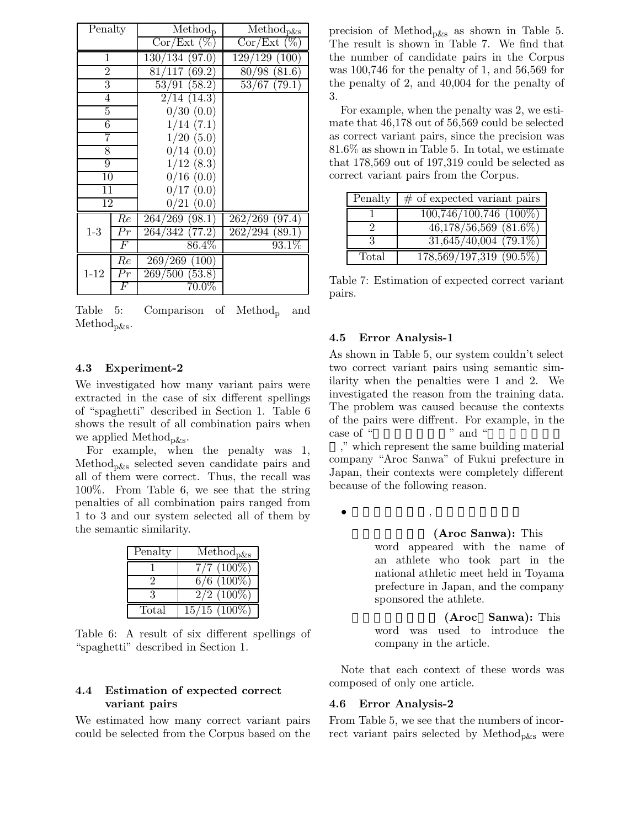| Penalty         |                 | $Method_{p}$     | $\overline{\text{Method}}_{\text{p\&s}}$ |  |
|-----------------|-----------------|------------------|------------------------------------------|--|
|                 |                 | Cor/Ext (%)      | Cor/Ext (%)                              |  |
| 1               |                 | 130/134(97.0)    | 129/129(100)                             |  |
| $\overline{2}$  |                 | 81/117 (69.2)    | 80/98(81.6)                              |  |
| 3               |                 | 53/91(58.2)      | 53/67(79.1)                              |  |
| 4               |                 | 2/14(14.3)       |                                          |  |
| 5               |                 | 0/30(0.0)        |                                          |  |
| $\overline{6}$  |                 | 1/14(7.1)        |                                          |  |
| 7               |                 | 1/20(5.0)        |                                          |  |
| 8               |                 | 0/14(0.0)        |                                          |  |
| $\overline{9}$  |                 | 1/12(8.3)        |                                          |  |
| 10              |                 | 0/16(0.0)        |                                          |  |
| 11              |                 | 0/17(0.0)        |                                          |  |
| $\overline{12}$ |                 | 0/21(0.0)        |                                          |  |
|                 | $_{Re}$         | $264/269$ (98.1) | $262/269$ (97.4)                         |  |
| $1-3$           | $\overline{Pr}$ | 264/342(77.2)    | 262/294(89.1)                            |  |
|                 | $\,F$           | $86.4\%$         | $93.1\%$                                 |  |
|                 | Re              | 269/269(100)     |                                          |  |
| $1 - 12$        | Pr              | 269/500(53.8)    |                                          |  |
|                 | $\,F$           | $70.0\%$         |                                          |  |

Table 5: Comparison of Method<sub>p</sub> and Method<sub>p&s</sub>.

#### **4.3 Experiment-2**

We investigated how many variant pairs were extracted in the case of six different spellings of "spaghetti" described in Section 1. Table 6 shows the result of all combination pairs when we applied Method<sub>p&s</sub>.

For example, when the penalty was 1, Methodp&s selected seven candidate pairs and all of them were correct. Thus, the recall was 100%. From Table 6, we see that the string penalties of all combination pairs ranged from 1 to 3 and our system selected all of them by the semantic similarity.

| Penalty | $\overline{\text{Method}}_{\text{p\&s}}$ |
|---------|------------------------------------------|
|         | $7/7(100\%)$                             |
|         | $6/6$ (100\%)                            |
|         | $2/2$ (100%)                             |
| Total   | $15/15$ $(100\%)$                        |

Table 6: A result of six different spellings of "spaghetti" described in Section 1.

#### **4.4 Estimation of expected correct variant pairs**

We estimated how many correct variant pairs could be selected from the Corpus based on the precision of Method<sub>p&s</sub> as shown in Table 5. The result is shown in Table 7. We find that the number of candidate pairs in the Corpus was 100,746 for the penalty of 1, and 56,569 for the penalty of 2, and 40,004 for the penalty of 3.

For example, when the penalty was 2, we estimate that 46,178 out of 56,569 could be selected as correct variant pairs, since the precision was 81.6% as shown in Table 5. In total, we estimate that 178,569 out of 197,319 could be selected as correct variant pairs from the Corpus.

| Penalty | $#$ of expected variant pairs        |
|---------|--------------------------------------|
|         | $100,746/100,746$ (100%)             |
|         | $46,178/56,569$ $(81.6\%)$           |
|         | $31,645/40,004$ (79.1%)              |
| Total   | $\overline{178,569/197,319}$ (90.5%) |

Table 7: Estimation of expected correct variant pairs.

#### **4.5 Error Analysis-1**

As shown in Table 5, our system couldn't select two correct variant pairs using semantic similarity when the penalties were 1 and 2. We investigated the reason from the training data. The problem was caused because the contexts of the pairs were diffrent. For example, in the case of "<sup>n</sup> and "

," which represent the same building material company "Aroc Sanwa" of Fukui prefecture in Japan, their contexts were completely different because of the following reason.

 $\bullet$   $\qquad$   $\qquad$   $\qquad$   $\bullet$   $\qquad$   $\qquad$   $\qquad$   $\qquad$   $\qquad$   $\qquad$   $\qquad$   $\qquad$   $\qquad$   $\qquad$   $\qquad$   $\qquad$   $\qquad$   $\qquad$   $\qquad$   $\qquad$   $\qquad$   $\qquad$   $\qquad$   $\qquad$   $\qquad$   $\qquad$   $\qquad$   $\qquad$   $\qquad$   $\qquad$   $\qquad$   $\qquad$   $\qquad$   $\qquad$   $\qquad$   $\qquad$ 

#### **(Aroc Sanwa):** This

word appeared with the name of an athlete who took part in the national athletic meet held in Toyama prefecture in Japan, and the company sponsored the athlete.

**(Aroc Sanwa):** This word was used to introduce the company in the article.

Note that each context of these words was composed of only one article.

#### **4.6 Error Analysis-2**

From Table 5, we see that the numbers of incorrect variant pairs selected by Method<sub>p&s</sub> were